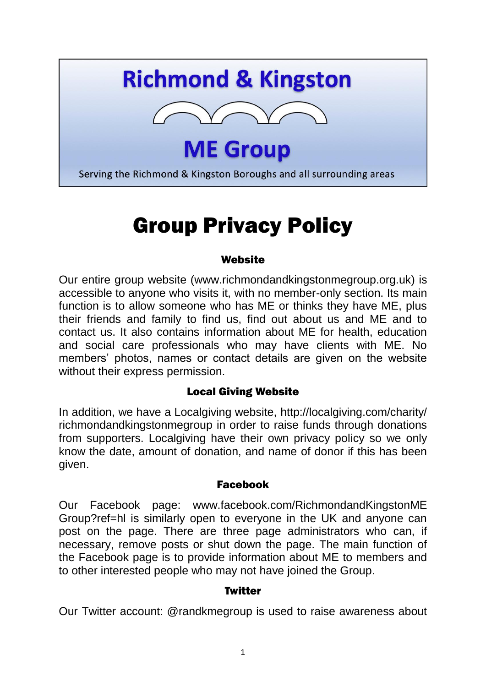# **Richmond & Kingston**



**ME Group** 

Serving the Richmond & Kingston Boroughs and all surrounding areas

# Group Privacy Policy

### **Website**

Our entire group website (www.richmondandkingstonmegroup.org.uk) is accessible to anyone who visits it, with no member-only section. Its main function is to allow someone who has ME or thinks they have ME, plus their friends and family to find us, find out about us and ME and to contact us. It also contains information about ME for health, education and social care professionals who may have clients with ME. No members' photos, names or contact details are given on the website without their express permission.

### Local Giving Website

In addition, we have a Localgiving website, http://localgiving.com/charity/ richmondandkingstonmegroup in order to raise funds through donations from supporters. Localgiving have their own privacy policy so we only know the date, amount of donation, and name of donor if this has been given.

#### Facebook

Our Facebook page: www.facebook.com/RichmondandKingstonME Group?ref=hl is similarly open to everyone in the UK and anyone can post on the page. There are three page administrators who can, if necessary, remove posts or shut down the page. The main function of the Facebook page is to provide information about ME to members and to other interested people who may not have joined the Group.

### **Twitter**

Our Twitter account: @randkmegroup is used to raise awareness about